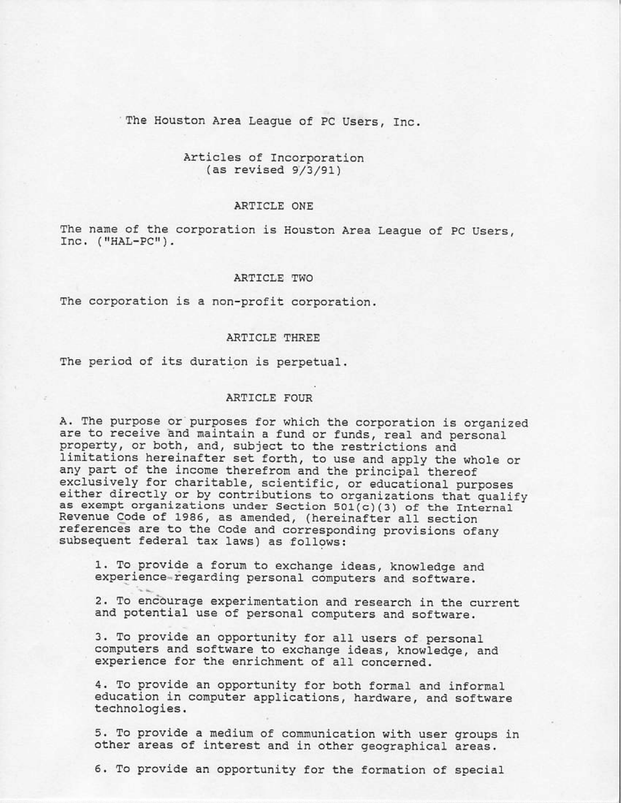## The Houston Area League of PC Users, Inc.

# Articles of Incorporation  $(as revised 9/3/91)$

#### ARTICLE ONE

The name of the corporation is Houston Area League of PC Users,  $Inc.$   $("HAL-PC")$ .

## ARTICLE TWO

The corporation is a non-profit corporation.

### ARTICLE THREE

The period of its duration is perpetual.

# ARTICLE FOUR

A. The purpose or purposes for which the corporation is organized are to receive and maintain a fund or funds, real and personal property, or both, and, subject to the restrictions and limitations hereinafter set forth, to use and apply the whole or any part of the income therefrom and the principal thereof exclusively for charitable, scientific, or educational purposes either directly or by contributions to organizations that qualify as exempt organizations under Section 501(c)(3) of the Internal Revenue Code of 1986, as amended, (hereinafter all section references are to the Code and corresponding provisions ofany subsequent federal tax laws) as follows:

1. To provide a forum to exchange ideas, knowledge and experience-regarding personal computers and software.

2. To encourage experimentation and research in the current and potential use of personal computers and software.

3. To provide an opportunity for all users of personal computers and software to exchange ideas, knowledge, and experience for the enrichment of all concerned.

4. To provide an opportunity for both formal and informal education in computer applications, hardware, and software technologies.

5. To provide a medium of communication with user groups in other areas of interest and in other geographical areas.

6. To provide an opportunity for the formation of special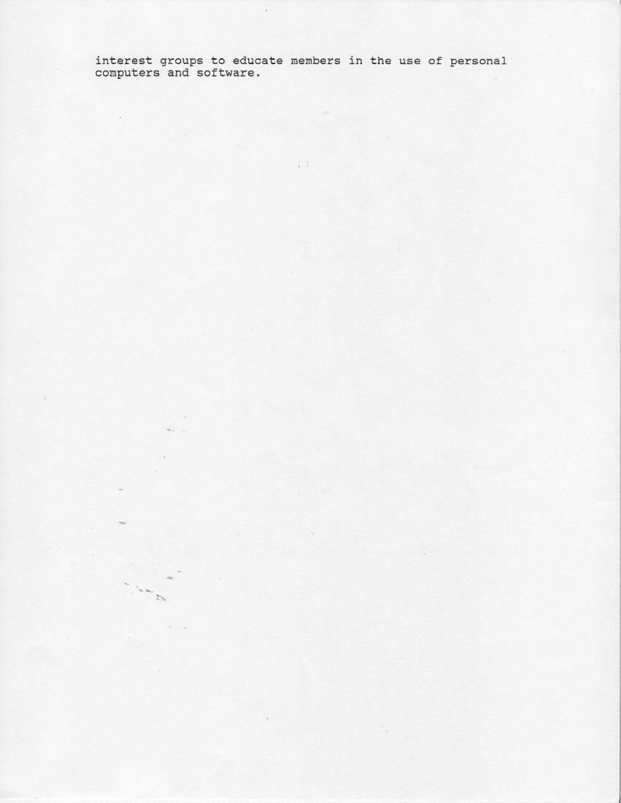interest groups to educate members in the use of personal computers and software.

 $\overline{1}$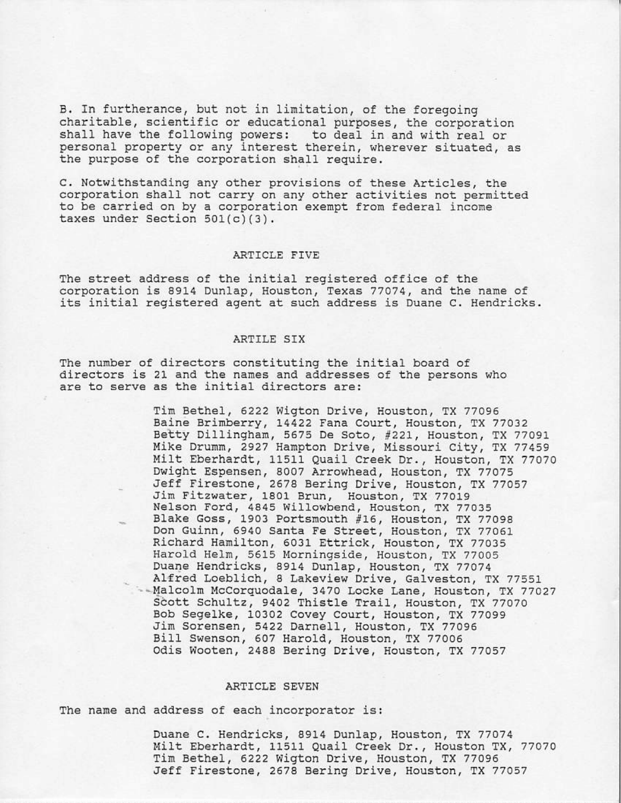B. In furtherance, but not in limitation, of the foregoing charitable, scientific or educational purposes, the corporation shall have the following powers: to deal in and with real or personal property or any interest therein, wherever situated, as the purpose of the corporation shall require.

C. Notwithstanding any other provisions of these Articles, the corporation shall not carry on any other activities not permitted to be carried on by a corporation exempt from federal income taxes under Section  $501(c)(3)$ .

#### ARTICLE FIVE

The street address of the initial registered office of the corporation is 8914 Dunlap, Houston, Texas 77074, and the name of its initial registered agent at such address is Duane C. Hendricks.

#### ARTILE SIX

The number of directors constituting the initial board of directors is 21 and the names and addresses of the persons who are to serve as the initial directors are:

> Tim Bethel, 6222 Wigton Drive, Houston, TX 77096 Baine Brimberry, 14422 Fana Court, Houston, TX 77032 Betty Dillingham, 5675 De Soto, #221, Houston, TX 77091 Mike Drumm, 2927 Hampton Drive, Missouri City, TX 77459 Milt Eberhardt, 11511 Quail Creek Dr., Houston, TX 77070 Dwight Espensen, 8007 Arrowhead, Houston, TX 77075 Jeff Firestone, 2678 Bering Drive, Houston, TX 77057 Jim Fitzwater, 1801 Brun, Houston, TX 77019 Nelson Ford, 4845 Willowbend, Houston, TX 77035 Blake Goss, 1903 Portsmouth #16, Houston, TX 77098 Don Guinn, 6940 Santa Fe Street, Houston, TX 77061 Richard Hamilton, 6031 Ettrick, Houston, TX 77035 Harold Helm, 5615 Morningside, Houston, TX 77005 Duane Hendricks, 8914 Dunlap, Houston, TX 77074 Alfred Loeblich, 8 Lakeview Drive, Galveston, TX 77551 --Malcolm McCorquodale, 3470 Locke Lane, Houston, TX 77027 Scott Schultz, 9402 Thistle Trail, Houston, TX 77070 Bob Segelke, 10302 Covey Court, Houston, TX 77099 Jim Sorensen, 5422 Darnell, Houston, TX 77096 Bill Swenson, 607 Harold, Houston, TX 77006 Odis Wooten, 2488 Bering Drive, Houston, TX 77057

## ARTICLE SEVEN

The name and address of each incorporator is:

Duane C. Hendricks, 8914 Dunlap, Houston, TX 77074 Milt Eberhardt, 11511 Quail Creek Dr., Houston TX, 77070 Tim Bethel, 6222 Wigton Drive, Houston, TX 77096 Jeff Firestone, 2678 Bering Drive, Houston, TX 77057